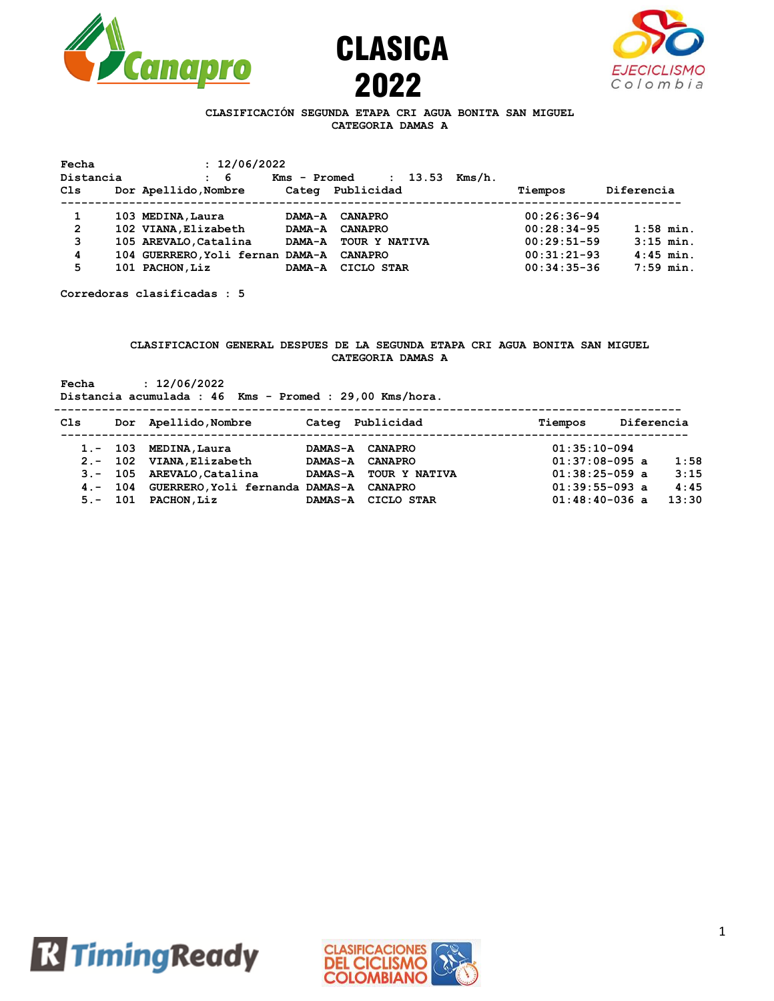





## **CLASIFICACIÓN SEGUNDA ETAPA CRI AGUA BONITA SAN MIGUEL CATEGORIA DAMAS A**

| Fecha          | : 12/06/2022                     |               |                         |        |               |             |
|----------------|----------------------------------|---------------|-------------------------|--------|---------------|-------------|
| Distancia      | -6<br>$\mathbf{r}$               | Kms - Promed  | 13.53<br>$\ddot{\cdot}$ | Kms/h. |               |             |
| Cls            | Dor Apellido, Nombre             | Categ         | Publicidad              |        | Tiempos       | Diferencia  |
|                |                                  |               |                         |        |               |             |
| 1              | 103 MEDINA, Laura                | <b>DAMA-A</b> | <b>CANAPRO</b>          |        | $00:26:36-94$ |             |
| $\overline{2}$ | 102 VIANA, Elizabeth             | <b>DAMA-A</b> | <b>CANAPRO</b>          |        | $00:28:34-95$ | $1:58$ min. |
| 3              | 105 AREVALO, Catalina            | <b>DAMA-A</b> | TOUR Y NATIVA           |        | $00:29:51-59$ | $3:15$ min. |
| 4              | 104 GUERRERO, Yoli fernan DAMA-A |               | <b>CANAPRO</b>          |        | $00:31:21-93$ | $4:45$ min. |
| 5              | 101 PACHON, Liz                  | <b>DAMA-A</b> | CICLO STAR              |        | $00:34:35-36$ | $7:59$ min. |

**Corredoras clasificadas : 5**

### **CLASIFICACION GENERAL DESPUES DE LA SEGUNDA ETAPA CRI AGUA BONITA SAN MIGUEL CATEGORIA DAMAS A**

**Fecha : 12/06/2022**

**Distancia acumulada : 46 Kms - Promed : 29,00 Kms/hora.**

| Cls        |            | Dor Apellido, Nombre            | Categ          | Publicidad           | Tiempos          | Diferencia |       |
|------------|------------|---------------------------------|----------------|----------------------|------------------|------------|-------|
|            | $1. - 103$ | MEDINA, Laura                   | <b>DAMAS-A</b> | <b>CANAPRO</b>       | $01:35:10-094$   |            |       |
|            |            | 2.- 102 VIANA, Elizabeth        | <b>DAMAS-A</b> | <b>CANAPRO</b>       | $01:37:08-095$ a |            | 1:58  |
|            |            | 3.- 105 AREVALO.Catalina        | <b>DAMAS-A</b> | <b>TOUR Y NATIVA</b> | $01:38:25-059$ a |            | 3:15  |
|            | $4 - 104$  | GUERRERO, Yoli fernanda DAMAS-A |                | <b>CANAPRO</b>       | $01:39:55-093$ a |            | 4:45  |
| $5. - 101$ |            | <b>PACHON, Liz</b>              | <b>DAMAS-A</b> | CICLO STAR           | $01:48:40-036$ a |            | 13:30 |



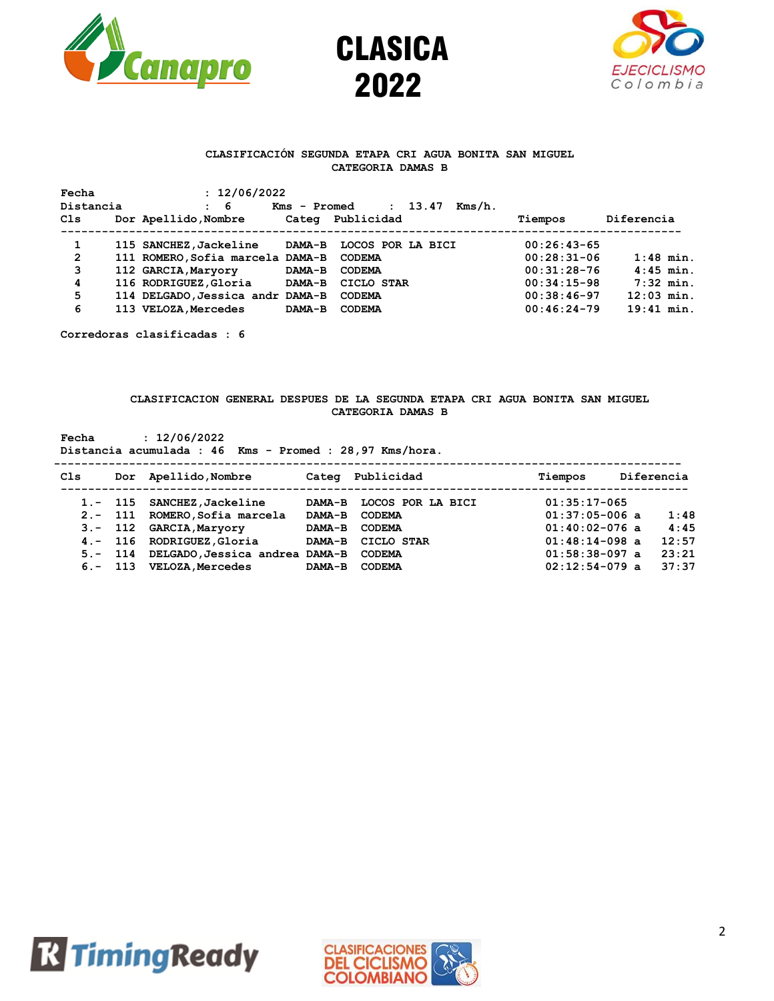





### **CLASIFICACIÓN SEGUNDA ETAPA CRI AGUA BONITA SAN MIGUEL CATEGORIA DAMAS B**

| Fecha        | : 12/06/2022                     |               |                                 |               |              |
|--------------|----------------------------------|---------------|---------------------------------|---------------|--------------|
| Distancia    | $\mathbf{5}$ 6                   | Kms - Promed  | 13.47<br>Kms/h.<br>$\mathbf{r}$ |               |              |
| Cls          | Dor Apellido, Nombre             | Categ         | Publicidad                      | Tiempos       | Diferencia   |
|              |                                  |               |                                 |               |              |
| 1            | 115 SANCHEZ, Jackeline           | <b>DAMA-B</b> | LOCOS POR LA BICI               | $00:26:43-65$ |              |
| $\mathbf{2}$ | 111 ROMERO, Sofia marcela DAMA-B |               | <b>CODEMA</b>                   | $00:28:31-06$ | $1:48$ min.  |
| 3            | 112 GARCIA, Maryory              | DAMA-B        | <b>CODEMA</b>                   | $00:31:28-76$ | $4:45$ min.  |
| 4            | 116 RODRIGUEZ, Gloria            | <b>DAMA-B</b> | CICLO STAR                      | $00:34:15-98$ | $7:32$ min.  |
| 5            | 114 DELGADO, Jessica andr DAMA-B |               | <b>CODEMA</b>                   | $00:38:46-97$ | $12:03$ min. |
| 6            | 113 VELOZA, Mercedes             | DAMA-B        | <b>CODEMA</b>                   | $00:46:24-79$ | $19:41$ min. |

**Corredoras clasificadas : 6**

#### **CLASIFICACION GENERAL DESPUES DE LA SEGUNDA ETAPA CRI AGUA BONITA SAN MIGUEL CATEGORIA DAMAS B**

**Fecha : 12/06/2022 Distancia acumulada : 46 Kms - Promed : 28,97 Kms/hora. --------------------------------------------------------------------------------------------**

| Cls | Dor Apellido, Nombre                   |               | Categ Publicidad         | Tiempos          | Diferencia |
|-----|----------------------------------------|---------------|--------------------------|------------------|------------|
|     | 1.- 115 SANCHEZ, Jackeline             |               | DAMA-B LOCOS POR LA BICI | $01:35:17-065$   |            |
|     | 2.- 111 ROMERO, Sofia marcela          | <b>DAMA-B</b> | CODEMA                   | $01:37:05-006$ a | 1:48       |
|     | 3.- 112 GARCIA, Maryory                | <b>DAMA-B</b> | <b>CODEMA</b>            | $01:40:02-076$ a | 4:45       |
|     | 4.- 116 RODRIGUEZ.Gloria               |               | DAMA-B CICLO STAR        | $01:48:14-098$ a | 12:57      |
|     | 5.- 114 DELGADO, Jessica andrea DAMA-B |               | <b>CODEMA</b>            | $01:58:38-097$ a | 23:21      |
|     | 6.- 113 VELOZA.Mercedes                | <b>DAMA-B</b> | CODEMA                   | $02:12:54-079$ a | 37:37      |



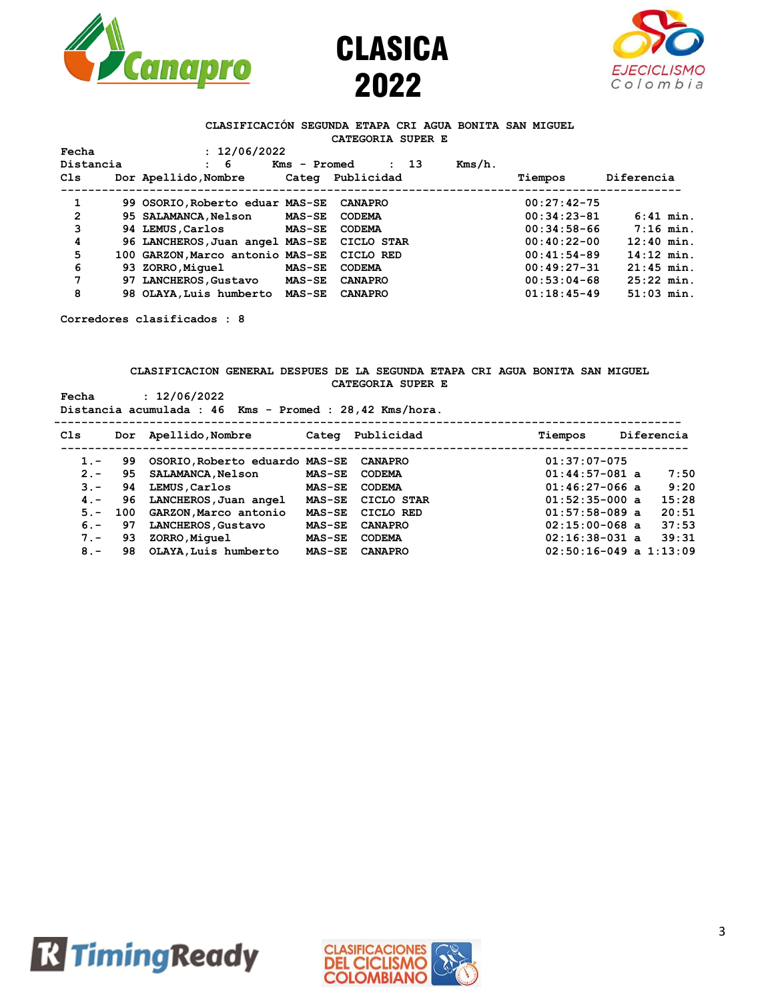





#### **CLASIFICACIÓN SEGUNDA ETAPA CRI AGUA BONITA SAN MIGUEL CATEGORIA SUPER E**

| Fecha        |  | : 12/06/2022                     |               |                              |  |               |              |
|--------------|--|----------------------------------|---------------|------------------------------|--|---------------|--------------|
| Distancia    |  | -6                               | Kms - Promed  | - 13<br>$\ddot{\phantom{a}}$ |  |               |              |
| Cls          |  | Dor Apellido, Nombre             | Categ         | Publicidad                   |  | Tiempos       | Diferencia   |
| 1            |  | 99 OSORIO, Roberto eduar MAS-SE  |               | <b>CANAPRO</b>               |  | $00:27:42-75$ |              |
| $\mathbf{2}$ |  | 95 SALAMANCA, Nelson             | <b>MAS-SE</b> | <b>CODEMA</b>                |  | $00:34:23-81$ | $6:41$ min.  |
| 3            |  | 94 LEMUS, Carlos                 | <b>MAS-SE</b> | <b>CODEMA</b>                |  | $00:34:58-66$ | $7:16$ min.  |
| 4            |  | 96 LANCHEROS, Juan angel MAS-SE  |               | CICLO STAR                   |  | $00:40:22-00$ | $12:40$ min. |
| 5            |  | 100 GARZON, Marco antonio MAS-SE |               | CICLO RED                    |  | $00:41:54-89$ | $14:12$ min. |
| 6            |  | 93 ZORRO, Miquel                 | $MAS-SE$      | <b>CODEMA</b>                |  | $00:49:27-31$ | $21:45$ min. |
| 7            |  | 97 LANCHEROS, Gustavo            | <b>MAS-SE</b> | <b>CANAPRO</b>               |  | $00:53:04-68$ | $25:22$ min. |
| 8            |  | 98 OLAYA, Luis humberto          | <b>MAS-SE</b> | <b>CANAPRO</b>               |  | $01:18:45-49$ | $51:03$ min. |

**Corredores clasificados : 8**

#### **CLASIFICACION GENERAL DESPUES DE LA SEGUNDA ETAPA CRI AGUA BONITA SAN MIGUEL CATEGORIA SUPER E Fecha : 12/06/2022**

| Fecha | : 12/06/2022                                            |  |  |  |  |  |
|-------|---------------------------------------------------------|--|--|--|--|--|
|       | Distancia acumulada : 46 Kms - Promed : 28,42 Kms/hora. |  |  |  |  |  |
|       |                                                         |  |  |  |  |  |

| Cls    |     | Dor Apellido, Nombre                   |               | Categ Publicidad  | Tiempos                    | Diferencia |
|--------|-----|----------------------------------------|---------------|-------------------|----------------------------|------------|
| $1 -$  | 99. | OSORIO, Roberto eduardo MAS-SE CANAPRO |               |                   | $01:37:07-075$             |            |
| $2 -$  | 95. | <b>SALAMANCA, Nelson</b>               | <b>MAS-SE</b> | <b>CODEMA</b>     | $01:44:57-081$ a           | 7:50       |
| $3 -$  | 94  | LEMUS, Carlos                          | <b>MAS-SE</b> | <b>CODEMA</b>     | $01:46:27-066$ a           | 9:20       |
| $4 -$  | 96  | LANCHEROS, Juan angel                  |               | MAS-SE CICLO STAR | $01:52:35-000$ a           | 15:28      |
| $5. -$ | 100 | GARZON, Marco antonio                  | <b>MAS-SE</b> | CICLO RED         | $01:57:58-089$ a           | 20:51      |
| $6 -$  | 97  | LANCHEROS, Gustavo                     | <b>MAS-SE</b> | <b>CANAPRO</b>    | $02:15:00-068$ a           | 37:53      |
| $7 -$  | 93  | ZORRO, Miquel                          | <b>MAS-SE</b> | <b>CODEMA</b>     | $02:16:38-031$ a           | 39:31      |
| $8 -$  | 98  | OLAYA, Luis humberto                   | <b>MAS-SE</b> | <b>CANAPRO</b>    | $02:50:16-049$ a $1:13:09$ |            |



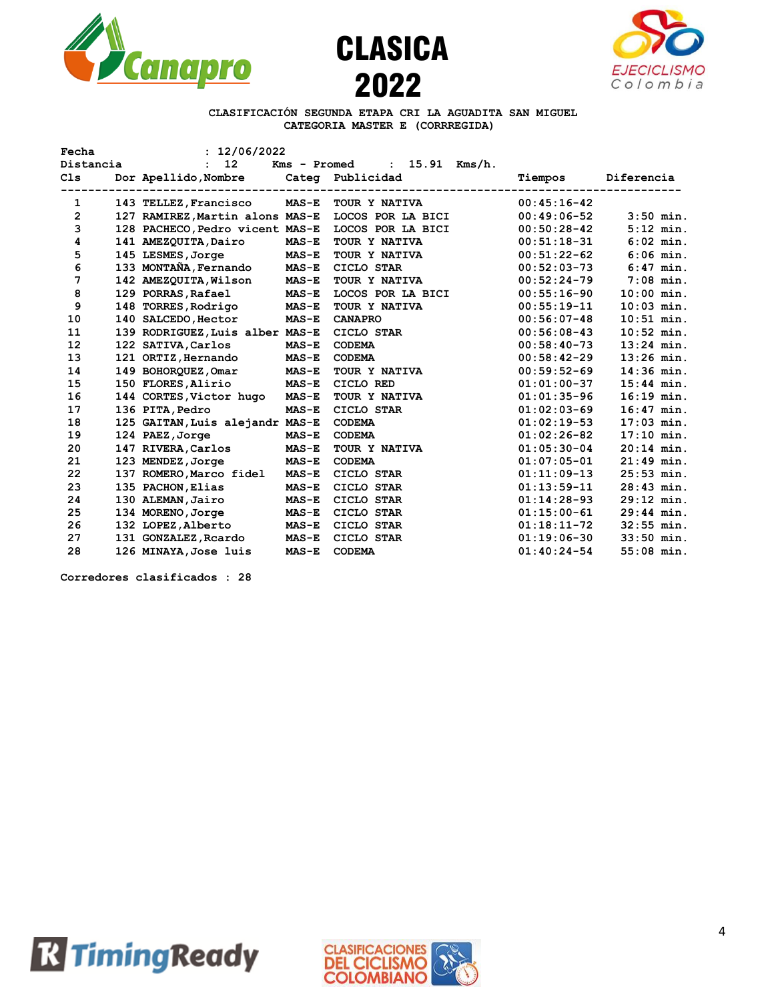





**CLASIFICACIÓN SEGUNDA ETAPA CRI LA AGUADITA SAN MIGUEL CATEGORIA MASTER E (CORRREGIDA)**

| Fecha     | : 12/06/2022                          |              |                                  |               |              |
|-----------|---------------------------------------|--------------|----------------------------------|---------------|--------------|
| Distancia | 12 <sup>12</sup><br>$\mathbf{r}$      |              | Kms - Promed<br>: $15.91$ Kms/h. |               |              |
| C1s       | Dor Apellido, Nombre Categ Publicidad |              |                                  | Tiempos       | Diferencia   |
|           |                                       |              |                                  |               |              |
| 1         | 143 TELLEZ, Francisco                 | $MAS-E$      | TOUR Y NATIVA                    | $00:45:16-42$ |              |
| 2         | 127 RAMIREZ, Martin alons MAS-E       |              | LOCOS POR LA BICI                | $00:49:06-52$ | $3:50$ min.  |
| 3         | 128 PACHECO, Pedro vicent MAS-E       |              | LOCOS POR LA BICI                | $00:50:28-42$ | $5:12$ min.  |
| 4         | 141 AMEZQUITA, Dairo                  | $MAS-E$      | TOUR Y NATIVA                    | $00:51:18-31$ | $6:02$ min.  |
| 5         | 145 LESMES, Jorge                     | $MAS-E$      | TOUR Y NATIVA                    | $00:51:22-62$ | $6:06$ min.  |
| 6         | 133 MONTAÑA, Fernando MAS-E           |              | CICLO STAR                       | $00:52:03-73$ | $6:47$ min.  |
| 7         | 142 AMEZQUITA, Wilson                 | $MAS-E$      | TOUR Y NATIVA                    | $00:52:24-79$ | $7:08$ min.  |
| 8         | 129 PORRAS, Rafael                    | <b>MAS-E</b> | LOCOS POR LA BICI                | $00:55:16-90$ | $10:00$ min. |
| 9         | 148 TORRES,Rodrigo                    | <b>MAS-E</b> | TOUR Y NATIVA                    | $00:55:19-11$ | $10:03$ min. |
| 10        | 140 SALCEDO, Hector                   | $MAS-E$      | <b>CANAPRO</b>                   | $00:56:07-48$ | $10:51$ min. |
| 11        | 139 RODRIGUEZ, Luis alber MAS-E       |              | CICLO STAR                       | $00:56:08-43$ | $10:52$ min. |
| 12        | 122 SATIVA, Carlos                    | $MAS-E$      | <b>CODEMA</b>                    | $00:58:40-73$ | $13:24$ min. |
| 13        | 121 ORTIZ, Hernando                   | <b>MAS-E</b> | <b>CODEMA</b>                    | $00:58:42-29$ | $13:26$ min. |
| 14        | 149 BOHORQUEZ, Omar                   | <b>MAS-E</b> | TOUR Y NATIVA                    | $00:59:52-69$ | $14:36$ min. |
| 15        | 150 FLORES, Alirio                    | MAS-E        | CICLO RED                        | $01:01:00-37$ | $15:44$ min. |
| 16        | 144 CORTES, Victor hugo MAS-E         |              | TOUR Y NATIVA                    | $01:01:35-96$ | $16:19$ min. |
| 17        | 136 PITA, Pedro                       | $MAS-E$      | CICLO STAR                       | $01:02:03-69$ | $16:47$ min. |
| 18        | 125 GAITAN, Luis alejandr MAS-E       |              | <b>CODEMA</b>                    | $01:02:19-53$ | $17:03$ min. |
| 19        | 124 PAEZ, Jorge                       | $MAS-E$      | <b>CODEMA</b>                    | $01:02:26-82$ | $17:10$ min. |
| 20        | 147 RIVERA, Carlos                    | <b>MAS-E</b> | TOUR Y NATIVA                    | $01:05:30-04$ | $20:14$ min. |
| 21        | 123 MENDEZ, Jorge                     | <b>MAS-E</b> | <b>CODEMA</b>                    | $01:07:05-01$ | $21:49$ min. |
| 22        | 137 ROMERO, Marco fidel               | <b>MAS-E</b> | CICLO STAR                       | $01:11:09-13$ | $25:53$ min. |
| 23        | 135 PACHON, Elias                     | $MAS-E$      | CICLO STAR                       | $01:13:59-11$ | $28:43$ min. |
| 24        | 130 ALEMAN, Jairo                     | $MAS-E$      | CICLO STAR                       | $01:14:28-93$ | $29:12$ min. |
| 25        | 134 MORENO, Jorge                     | <b>MAS-E</b> | CICLO STAR                       | $01:15:00-61$ | $29:44$ min. |
| 26        | 132 LOPEZ, Alberto                    | <b>MAS-E</b> | CICLO STAR                       | $01:18:11-72$ | $32:55$ min. |
| 27        | 131 GONZALEZ, Reardo MAS-E            |              | CICLO STAR                       | $01:19:06-30$ | $33:50$ min. |
| 28        | 126 MINAYA, Jose luis                 | $MAS-E$      | <b>CODEMA</b>                    | $01:40:24-54$ | $55:08$ min. |

**Corredores clasificados : 28**



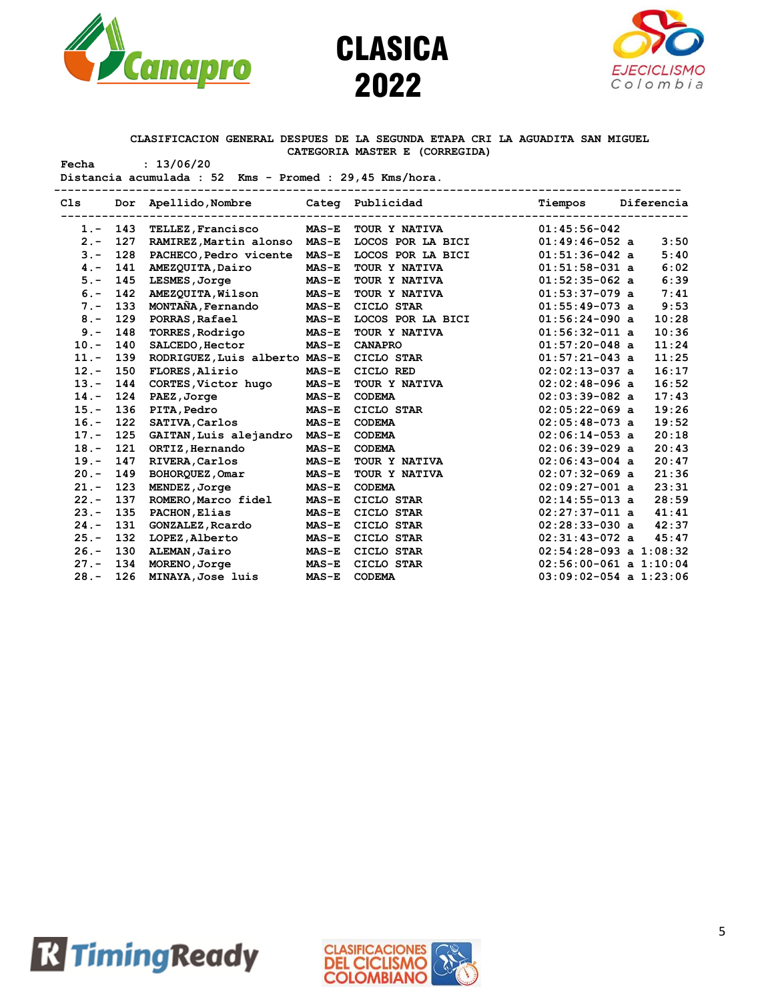





### **CLASIFICACION GENERAL DESPUES DE LA SEGUNDA ETAPA CRI LA AGUADITA SAN MIGUEL CATEGORIA MASTER E (CORREGIDA)**

**Fecha : 13/06/20 Distancia acumulada : 52 Kms - Promed : 29,45 Kms/hora.**

|         |            | Cls Dor Apellido, Nombre Cateq Publicidad | . _ _ _ _ _ _ _ _ _ _ _ _ _ _ _ _ | Tiempos Dif<br>-------------------------------- | Tiempos Diferencia         |       |
|---------|------------|-------------------------------------------|-----------------------------------|-------------------------------------------------|----------------------------|-------|
|         | $1. - 143$ | <b>TELLEZ, Francisco</b>                  | $MAS-E$                           | TOUR Y NATIVA                                   | $01:45:56-042$             |       |
| $2 -$   | 127        | RAMIREZ, Martin alonso                    | $MAS-E$                           | LOCOS POR LA BICI                               | $01:49:46-052$ a           | 3:50  |
| $3 -$   | 128        | PACHECO, Pedro vicente                    | $MAS-E$                           | LOCOS POR LA BICI                               | $01:51:36-042$ a           | 5:40  |
| $4 -$   | 141        | AMEZQUITA, Dairo                          | $MAS-E$                           | TOUR Y NATIVA                                   | $01:51:58-031$ a           | 6:02  |
| $5. -$  | 145        | LESMES, Jorge                             | $MAS-E$                           | TOUR Y NATIVA                                   | $01:52:35-062$ a           | 6:39  |
| $6. -$  | 142        | AMEZQUITA, Wilson                         | $MAS-E$                           | TOUR Y NATIVA                                   | $01:53:37-079$ a           | 7:41  |
| $7 -$   | 133        | MONTAÑA, Fernando                         | $MAS-E$                           | CICLO STAR                                      | $01:55:49-073$ a           | 9:53  |
| $8 -$   | 129        | PORRAS, Rafael                            | <b>MAS-E</b>                      | LOCOS POR LA BICI                               | $01:56:24-090$ a           | 10:28 |
| $9 -$   | 148        | <b>TORRES, Rodrigo</b>                    | <b>MAS-E</b>                      | TOUR Y NATIVA                                   | $01:56:32-011$ a           | 10:36 |
| $10. -$ | 140        | SALCEDO, Hector                           | $MAS-E$                           | <b>CANAPRO</b>                                  | $01:57:20-048$ a           | 11:24 |
| $11. -$ | 139        | RODRIGUEZ, Luis alberto MAS-E             |                                   | CICLO STAR                                      | $01:57:21-043$ a           | 11:25 |
| $12 -$  | 150        | FLORES, Alirio                            | $MAS-E$                           | CICLO RED                                       | $02:02:13-037$ a           | 16:17 |
| $13 -$  | 144        | CORTES, Victor hugo                       | <b>MAS-E</b>                      | TOUR Y NATIVA                                   | $02:02:48-096$ a           | 16:52 |
| $14. -$ | 124        | PAEZ, Jorge                               | <b>MAS-E</b>                      | <b>CODEMA</b>                                   | $02:03:39-082$ a           | 17:43 |
| $15. -$ | 136        | <b>PITA, Pedro</b>                        | <b>MAS-E</b>                      | CICLO STAR                                      | $02:05:22-069$ a           | 19:26 |
| $16. -$ | 122        | <b>SATIVA, Carlos</b>                     | $MAS-E$                           | <b>CODEMA</b>                                   | $02:05:48-073$ a           | 19:52 |
| $17. -$ | 125        | GAITAN, Luis alejandro MAS-E              |                                   | <b>CODEMA</b>                                   | $02:06:14-053$ a           | 20:18 |
| $18. -$ | 121        | ORTIZ, Hernando                           | $MAS-E$                           | <b>CODEMA</b>                                   | $02:06:39-029$ a           | 20:43 |
| $19. -$ | 147        | RIVERA, Carlos                            | $MAS-E$                           | TOUR Y NATIVA                                   | $02:06:43-004$ a           | 20:47 |
| $20 -$  | 149        | BOHORQUEZ, Omar                           | $MAS-E$                           | TOUR Y NATIVA                                   | $02:07:32-069$ a           | 21:36 |
| $21 -$  | 123        | MENDEZ, Jorge                             | $MAS-E$                           | <b>CODEMA</b>                                   | $02:09:27-001$ a           | 23:31 |
| $22 -$  | 137        | ROMERO, Marco fidel                       | $MAS-E$                           | CICLO STAR                                      | $02:14:55-013$ a           | 28:59 |
| $23 -$  | 135        | PACHON, Elias                             | $MAS-E$                           | CICLO STAR                                      | $02:27:37-011$ a           | 41:41 |
| $24 -$  | 131        | <b>GONZALEZ, Reardo</b>                   | $MAS-E$                           | CICLO STAR                                      | $02:28:33-030$ a           | 42:37 |
| $25. -$ | 132        | LOPEZ, Alberto                            | $MAS-E$                           | CICLO STAR                                      | $02:31:43-072$ a           | 45:47 |
| $26. -$ | 130        | ALEMAN, Jairo                             | $MAS-E$                           | CICLO STAR                                      | $02:54:28-093$ a $1:08:32$ |       |
| $27 -$  | 134        | MORENO, Jorge                             | <b>MAS-E</b>                      | CICLO STAR                                      | $02:56:00-061$ a $1:10:04$ |       |
| $28 -$  | 126        | MINAYA, Jose luis                         | <b>MAS-E</b>                      | <b>CODEMA</b>                                   | $03:09:02-054$ a $1:23:06$ |       |
|         |            |                                           |                                   |                                                 |                            |       |



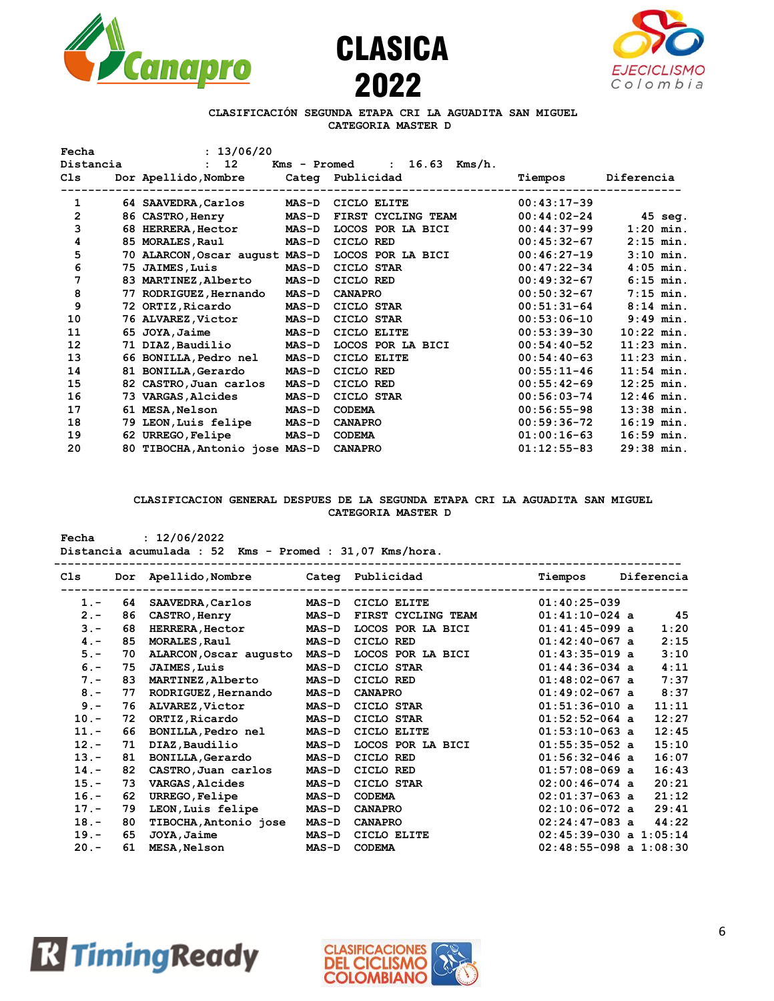





## **CLASIFICACIÓN SEGUNDA ETAPA CRI LA AGUADITA SAN MIGUEL CATEGORIA MASTER D**

| Fecha     | : 13/06/20                        |                              |                                                |               |              |
|-----------|-----------------------------------|------------------------------|------------------------------------------------|---------------|--------------|
| Distancia | $12 \overline{ }$<br>$\mathbf{r}$ |                              | $16.63$ Kms/h.<br>Kms - Promed<br>$\mathbf{r}$ |               |              |
| C1s       | Dor Apellido, Nombre              |                              | Categ Publicidad                               | Tiempos       | Diferencia   |
| 1         | 64 SAAVEDRA, Carlos               | ------------<br><b>MAS-D</b> | CICLO ELITE                                    | $00:43:17-39$ |              |
| 2         | 86 CASTRO, Henry                  | <b>MAS-D</b>                 | FIRST CYCLING TEAM                             | $00:44:02-24$ | 45 seg.      |
| 3         | 68 HERRERA, Hector                | <b>MAS-D</b>                 | LOCOS POR LA BICI                              | $00:44:37-99$ | $1:20$ min.  |
| 4         | 85 MORALES, Raul                  | <b>MAS-D</b>                 | CICLO RED                                      | $00:45:32-67$ | $2:15$ min.  |
| 5         | 70 ALARCON, Oscar august MAS-D    |                              | LOCOS POR LA BICI                              | $00:46:27-19$ | $3:10$ min.  |
| 6         | 75 JAIMES, Luis                   | <b>MAS-D</b>                 | CICLO STAR                                     | $00:47:22-34$ | $4:05$ min.  |
| 7         | 83 MARTINEZ, Alberto              | <b>MAS-D</b>                 | CICLO RED                                      | $00:49:32-67$ | $6:15$ min.  |
| 8         | 77 RODRIGUEZ, Hernando            | <b>MAS-D</b>                 | <b>CANAPRO</b>                                 | $00:50:32-67$ | $7:15$ min.  |
| 9         | 72 ORTIZ, Ricardo                 | <b>MAS-D</b>                 | CICLO STAR                                     | $00:51:31-64$ | $8:14$ min.  |
| 10        | 76 ALVAREZ,Victor                 | <b>MAS-D</b>                 | CICLO STAR                                     | $00:53:06-10$ | $9:49$ min.  |
| 11        | 65 JOYA, Jaime                    | <b>MAS-D</b>                 | CICLO ELITE                                    | $00:53:39-30$ | $10:22$ min. |
| 12        | 71 DIAZ, Baudilio                 | $MAS-D$                      | LOCOS POR LA BICI                              | $00:54:40-52$ | $11:23$ min. |
| 13        | 66 BONILLA, Pedro nel             | <b>MAS-D</b>                 | CICLO ELITE                                    | $00:54:40-63$ | $11:23$ min. |
| 14        | 81 BONILLA, Gerardo               | $MAS-D$                      | CICLO RED                                      | $00:55:11-46$ | $11:54$ min. |
| 15        | 82 CASTRO, Juan carlos            | <b>MAS-D</b>                 | CICLO RED                                      | $00:55:42-69$ | $12:25$ min. |
| 16        | 73 VARGAS,Alcides                 | <b>MAS-D</b>                 | CICLO STAR                                     | $00:56:03-74$ | $12:46$ min. |
| 17        | 61 MESA,Nelson                    | <b>MAS-D</b>                 | <b>CODEMA</b>                                  | $00:56:55-98$ | $13:38$ min. |
| 18        | 79 LEON, Luis felipe              | <b>MAS-D</b>                 | <b>CANAPRO</b>                                 | $00:59:36-72$ | $16:19$ min. |
| 19        | 62 URREGO, Felipe                 | $MAS-D$                      | <b>CODEMA</b>                                  | $01:00:16-63$ | $16:59$ min. |
| 20        | 80 TIBOCHA, Antonio jose MAS-D    |                              | <b>CANAPRO</b>                                 | $01:12:55-83$ | $29:38$ min. |

### **CLASIFICACION GENERAL DESPUES DE LA SEGUNDA ETAPA CRI LA AGUADITA SAN MIGUEL CATEGORIA MASTER D**

| Fecha           | : 12/06/2022<br>Distancia acumulada : 52<br>$Kms - Promed : 31,07 Kms/hora.$ |                          |         |                    |                            |  |            |  |  |  |  |  |  |
|-----------------|------------------------------------------------------------------------------|--------------------------|---------|--------------------|----------------------------|--|------------|--|--|--|--|--|--|
| C <sub>1s</sub> | Dor                                                                          | Apellido,Nombre          |         | Categ Publicidad   | Tiempos                    |  | Diferencia |  |  |  |  |  |  |
| $1 -$           | 64                                                                           | SAAVEDRA, Carlos         | $MAS-D$ | CICLO ELITE        | $01:40:25-039$             |  |            |  |  |  |  |  |  |
| $2 -$           | 86                                                                           | CASTRO, Henry            | $MAS-D$ | FIRST CYCLING TEAM | $01:41:10-024$ a           |  | 45         |  |  |  |  |  |  |
| $3 -$           | 68                                                                           | <b>HERRERA, Hector</b>   | $MAS-D$ | LOCOS POR LA BICI  | $01:41:45-099$ a           |  | 1:20       |  |  |  |  |  |  |
| $4 -$           | 85                                                                           | MORALES, Raul            | $MAS-D$ | CICLO RED          | $01:42:40-067$ a           |  | 2:15       |  |  |  |  |  |  |
| $5. -$          | 70                                                                           | ALARCON, Oscar augusto   | $MAS-D$ | LOCOS POR LA BICI  | $01:43:35-019$ a           |  | 3:10       |  |  |  |  |  |  |
| $6. -$          | 75                                                                           | <b>JAIMES, Luis</b>      | $MAS-D$ | CICLO STAR         | $01:44:36-034$ a           |  | 4:11       |  |  |  |  |  |  |
| $7 -$           | 83                                                                           | <b>MARTINEZ, Alberto</b> | $MAS-D$ | CICLO RED          | $01:48:02-067$ a           |  | 7:37       |  |  |  |  |  |  |
| $8 -$           | 77                                                                           | RODRIGUEZ, Hernando      | $MAS-D$ | <b>CANAPRO</b>     | $01:49:02-067$ a           |  | 8:37       |  |  |  |  |  |  |
| $9 -$           | 76                                                                           | ALVAREZ, Victor          | $MAS-D$ | CICLO STAR         | $01:51:36-010$ a           |  | 11:11      |  |  |  |  |  |  |
| $10. -$         | 72                                                                           | ORTIZ, Ricardo           | $MAS-D$ | CICLO STAR         | $01:52:52-064$ a           |  | 12:27      |  |  |  |  |  |  |
| $11. -$         | 66                                                                           | BONILLA, Pedro nel       | $MAS-D$ | CICLO ELITE        | $01:53:10-063$ a           |  | 12:45      |  |  |  |  |  |  |
| $12 -$          | 71                                                                           | DIAZ, Baudilio           | $MAS-D$ | LOCOS POR LA BICI  | $01:55:35-052$ a           |  | 15:10      |  |  |  |  |  |  |
| $13 -$          | 81                                                                           | <b>BONILLA, Gerardo</b>  | $MAS-D$ | CICLO RED          | $01:56:32-046$ a           |  | 16:07      |  |  |  |  |  |  |
| $14. -$         | 82                                                                           | CASTRO, Juan carlos      | $MAS-D$ | CICLO RED          | $01:57:08-069$ a           |  | 16:43      |  |  |  |  |  |  |
| $15. -$         | 73                                                                           | <b>VARGAS, Alcides</b>   | $MAS-D$ | CICLO STAR         | $02:00:46-074$ a           |  | 20:21      |  |  |  |  |  |  |
| $16. -$         | 62                                                                           | URREGO, Felipe           | $MAS-D$ | <b>CODEMA</b>      | $02:01:37-063$ a           |  | 21:12      |  |  |  |  |  |  |
| $17. -$         | 79                                                                           | LEON, Luis felipe        | $MAS-D$ | <b>CANAPRO</b>     | $02:10:06-072$ a           |  | 29:41      |  |  |  |  |  |  |
| $18. -$         | 80                                                                           | TIBOCHA, Antonio jose    | $MAS-D$ | <b>CANAPRO</b>     | $02:24:47-083$ a           |  | 44:22      |  |  |  |  |  |  |
| $19. -$         | 65                                                                           | JOYA, Jaime              | $MAS-D$ | CICLO ELITE        | $02:45:39-030$ a $1:05:14$ |  |            |  |  |  |  |  |  |
| $20 -$          | 61                                                                           | <b>MESA, Nelson</b>      | $MAS-D$ | <b>CODEMA</b>      | $02:48:55-098$ a $1:08:30$ |  |            |  |  |  |  |  |  |



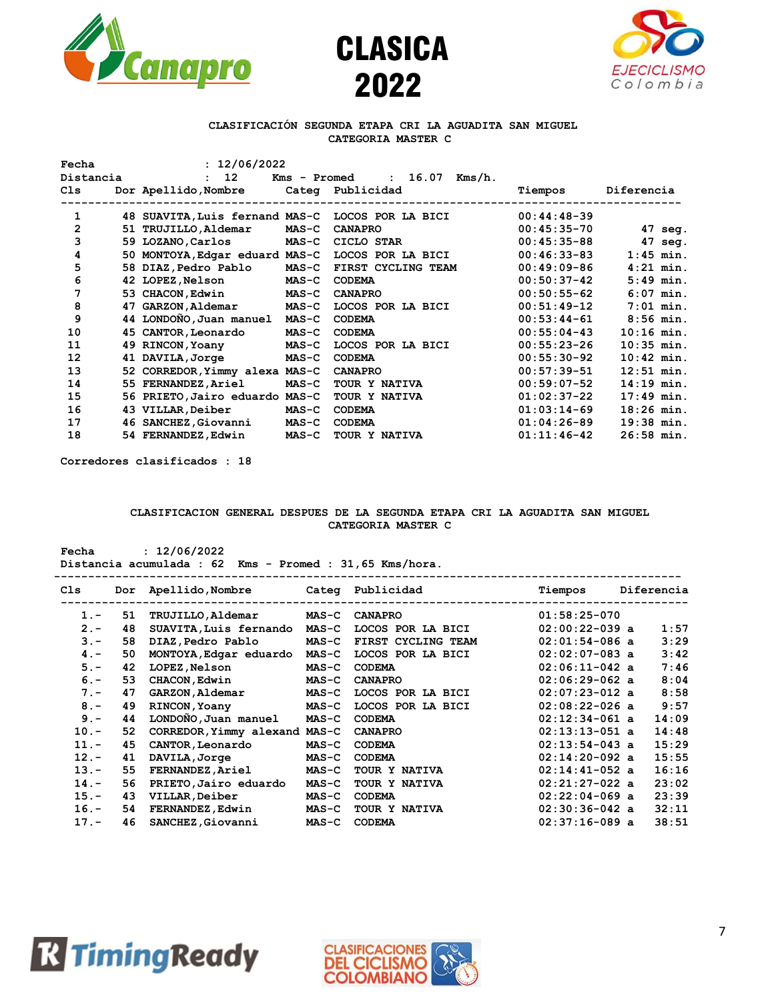





#### **CLASIFICACIÓN SEGUNDA ETAPA CRI LA AGUADITA SAN MIGUEL CATEGORIA MASTER C**

| Fecha          | : 12/06/2022                    |              |                                                 |               |              |
|----------------|---------------------------------|--------------|-------------------------------------------------|---------------|--------------|
| Distancia      | 12 <sup>°</sup><br>$\mathbf{r}$ |              | 16.07<br>Kms/h.<br>Kms - Promed<br>$\mathbf{r}$ |               |              |
| C1s            | Dor Apellido, Nombre            |              | Categ Publicidad                                | Tiempos       | Diferencia   |
| 1              | 48 SUAVITA, Luis fernand MAS-C  |              | LOCOS POR LA BICI                               | $00:44:48-39$ |              |
| $\overline{2}$ | 51 TRUJILLO, Aldemar            | $MAS-C$      | <b>CANAPRO</b>                                  | $00:45:35-70$ | 47 seg.      |
| 3              | 59 LOZANO, Carlos               | $MAS-C$      | CICLO STAR                                      | $00:45:35-88$ | 47 seg.      |
| 4              | 50 MONTOYA, Edgar eduard MAS-C  |              | LOCOS POR LA BICI                               | $00:46:33-83$ | $1:45$ min.  |
| 5              | 58 DIAZ,Pedro Pablo             | <b>MAS-C</b> | FIRST CYCLING TEAM                              | $00:49:09-86$ | $4:21$ min.  |
| 6              | 42 LOPEZ, Nelson                | $MAS-C$      | <b>CODEMA</b>                                   | $00:50:37-42$ | $5:49$ min.  |
| 7              | 53 CHACON, Edwin                | <b>MAS-C</b> | <b>CANAPRO</b>                                  | $00:50:55-62$ | $6:07$ min.  |
| 8              | 47 GARZON, Aldemar              | $MAS-C$      | LOCOS POR LA BICI                               | $00:51:49-12$ | $7:01$ min.  |
| 9              | 44 LONDONO, Juan manuel MAS-C   |              | <b>CODEMA</b>                                   | $00:53:44-61$ | $8:56$ min.  |
| 10             | 45 CANTOR, Leonardo             | $MAS-C$      | <b>CODEMA</b>                                   | $00:55:04-43$ | $10:16$ min. |
| 11             | 49 RINCON, Yoany                | $MAS-C$      | LOCOS POR LA BICI                               | $00:55:23-26$ | $10:35$ min. |
| 12             | 41 DAVILA, Jorge                | $MAS-C$      | <b>CODEMA</b>                                   | $00:55:30-92$ | $10:42$ min. |
| 13             | 52 CORREDOR, Yimmy alexa MAS-C  |              | <b>CANAPRO</b>                                  | $00:57:39-51$ | $12:51$ min. |
| 14             | 55 FERNANDEZ, Ariel             | $MAS-C$      | TOUR Y NATIVA                                   | $00:59:07-52$ | $14:19$ min. |
| 15             | 56 PRIETO, Jairo eduardo MAS-C  |              | TOUR Y NATIVA                                   | $01:02:37-22$ | $17:49$ min. |
| 16             | 43 VILLAR, Deiber               | $MAS-C$      | <b>CODEMA</b>                                   | $01:03:14-69$ | $18:26$ min. |
| 17             | 46 SANCHEZ, Giovanni            | <b>MAS-C</b> | <b>CODEMA</b>                                   | $01:04:26-89$ | $19:38$ min. |
| 18             | 54 FERNANDEZ, Edwin             | $MAS-C$      | TOUR Y NATIVA                                   | $01:11:46-42$ | $26:58$ min. |

**Corredores clasificados : 18**

**Fecha : 12/06/2022**

### **CLASIFICACION GENERAL DESPUES DE LA SEGUNDA ETAPA CRI LA AGUADITA SAN MIGUEL CATEGORIA MASTER C**

| Distancia acumulada : 62 Kms - Promed : 31,65 Kms/hora. |    |                                       |              |                    |                  |  |            |  |  |
|---------------------------------------------------------|----|---------------------------------------|--------------|--------------------|------------------|--|------------|--|--|
| Cls.                                                    |    | Dor Apellido, Nombre Cateq Publicidad |              |                    | Tiempos          |  | Diferencia |  |  |
| $1 -$                                                   | 51 | <b>TRUJILLO, Aldemar</b>              | <b>MAS-C</b> | <b>CANAPRO</b>     | $01:58:25-070$   |  |            |  |  |
| $2 -$                                                   | 48 | SUAVITA, Luis fernando                | $MAS-C$      | LOCOS POR LA BICI  | $02:00:22-039$ a |  | 1:57       |  |  |
| $3 -$                                                   | 58 | DIAZ, Pedro Pablo                     | $MAS-C$      | FIRST CYCLING TEAM | $02:01:54-086$ a |  | 3:29       |  |  |
| $4 -$                                                   | 50 | MONTOYA, Edgar eduardo                | $MAS-C$      | LOCOS POR LA BICI  | $02:02:07-083$ a |  | 3:42       |  |  |
| $5 -$                                                   | 42 | LOPEZ, Nelson                         | $MAS-C$      | <b>CODEMA</b>      | $02:06:11-042$ a |  | 7:46       |  |  |
| $6 -$                                                   | 53 | CHACON, Edwin                         | $MAS-C$      | <b>CANAPRO</b>     | $02:06:29-062$ a |  | 8:04       |  |  |
| $7 -$                                                   | 47 | GARZON, Aldemar                       | $MAS-C$      | LOCOS POR LA BICI  | $02:07:23-012$ a |  | 8:58       |  |  |
| $8 -$                                                   | 49 | RINCON, Yoany                         | $MAS-C$      | LOCOS POR LA BICI  | $02:08:22-026$ a |  | 9:57       |  |  |
| $9 -$                                                   | 44 | LONDOÑO, Juan manuel                  | $MAS-C$      | <b>CODEMA</b>      | $02:12:34-061$ a |  | 14:09      |  |  |
| $10. -$                                                 | 52 | CORREDOR, Yimmy alexand MAS-C         |              | <b>CANAPRO</b>     | $02:13:13-051$ a |  | 14:48      |  |  |
| $11. -$                                                 | 45 | CANTOR, Leonardo                      | $MAS-C$      | <b>CODEMA</b>      | $02:13:54-043$ a |  | 15:29      |  |  |
| $12 -$                                                  | 41 | DAVILA, Jorge                         | $MAS - C$    | <b>CODEMA</b>      | $02:14:20-092$ a |  | 15:55      |  |  |
| $13 -$                                                  | 55 | <b>FERNANDEZ, Ariel</b>               | $MAS-C$      | TOUR Y NATIVA      | $02:14:41-052$ a |  | 16:16      |  |  |
| $14. -$                                                 | 56 | PRIETO, Jairo eduardo                 | $MAS - C$    | TOUR Y NATIVA      | $02:21:27-022$ a |  | 23:02      |  |  |
| $15. -$                                                 | 43 | VILLAR, Deiber                        | $MAS-C$      | <b>CODEMA</b>      | $02:22:04-069$ a |  | 23:39      |  |  |
| $16. -$                                                 | 54 | <b>FERNANDEZ, Edwin</b>               | <b>MAS-C</b> | TOUR Y NATIVA      | $02:30:36-042$ a |  | 32:11      |  |  |
| $17. -$                                                 | 46 | SANCHEZ, Giovanni                     | <b>MAS-C</b> | <b>CODEMA</b>      | $02:37:16-089$ a |  | 38:51      |  |  |
|                                                         |    |                                       |              |                    |                  |  |            |  |  |



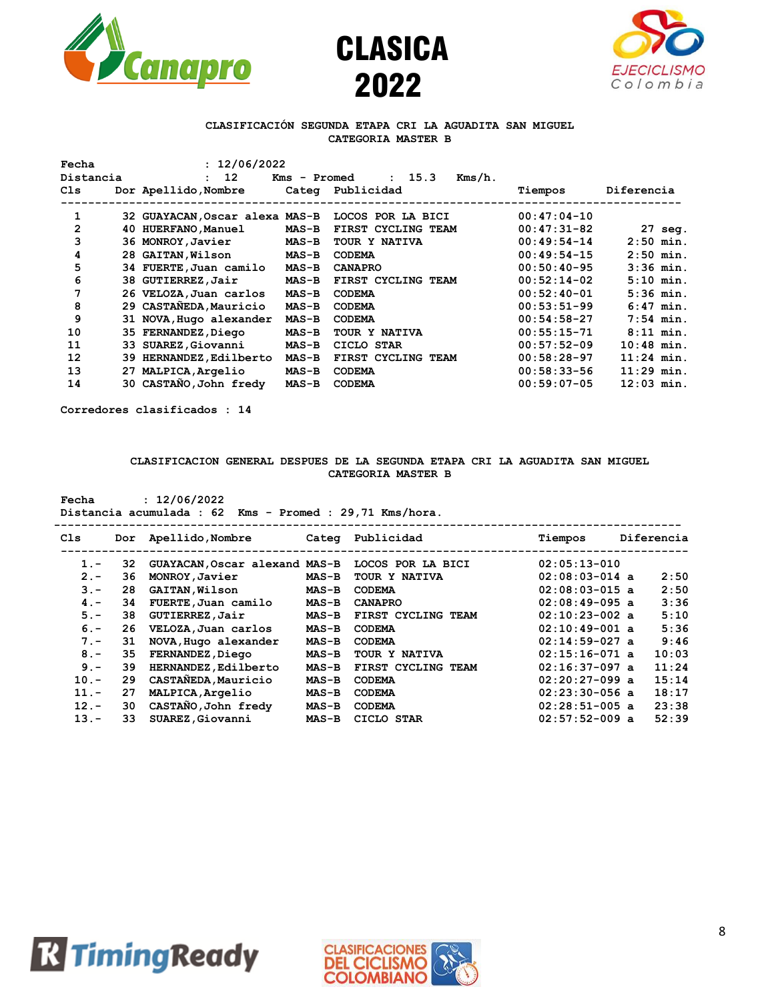





#### **CLASIFICACIÓN SEGUNDA ETAPA CRI LA AGUADITA SAN MIGUEL CATEGORIA MASTER B**

| Fecha     | : 12/06/2022                   |              |                     |               |                   |
|-----------|--------------------------------|--------------|---------------------|---------------|-------------------|
| Distancia | : 12                           | Kms - Promed | $Kms/h$ .<br>: 15.3 |               |                   |
| C1s       | Dor Apellido, Nombre           |              | Categ Publicidad    | Tiempos       | Diferencia        |
|           |                                |              |                     |               |                   |
| 1         | 32 GUAYACAN, Oscar alexa MAS-B |              | LOCOS POR LA BICI   | $00:47:04-10$ |                   |
| 2         | 40 HUERFANO, Manuel            | <b>MAS-B</b> | FIRST CYCLING TEAM  | $00:47:31-82$ | $27 \text{ seq.}$ |
| 3         | 36 MONROY, Javier              | $MAS-B$      | TOUR Y NATIVA       | $00:49:54-14$ | $2:50$ min.       |
| 4         | 28 GAITAN, Wilson              | $MAS-B$      | <b>CODEMA</b>       | $00:49:54-15$ | $2:50$ min.       |
| 5         | 34 FUERTE, Juan camilo         | $MAS-B$      | <b>CANAPRO</b>      | $00:50:40-95$ | $3:36$ min.       |
| 6         | 38 GUTIERREZ, Jair             | $MAS-B$      | FIRST CYCLING TEAM  | $00:52:14-02$ | $5:10$ min.       |
| 7         | 26 VELOZA, Juan carlos         | $MAS-B$      | <b>CODEMA</b>       | $00:52:40-01$ | $5:36$ min.       |
| 8         | 29 CASTANEDA, Mauricio         | $MAS-B$      | <b>CODEMA</b>       | $00:53:51-99$ | $6:47$ min.       |
| 9         | 31 NOVA, Hugo alexander        | <b>MAS-B</b> | <b>CODEMA</b>       | $00:54:58-27$ | $7:54$ min.       |
| 10        | 35 FERNANDEZ, Diego            | $MAS-B$      | TOUR Y NATIVA       | $00:55:15-71$ | $8:11$ min.       |
| 11        | 33 SUAREZ, Giovanni            | $MAS-B$      | CICLO STAR          | $00:57:52-09$ | $10:48$ min.      |
| 12        | 39 HERNANDEZ, Edilberto        | $MAS-B$      | FIRST CYCLING TEAM  | $00:58:28-97$ | $11:24$ min.      |
| 13        | 27 MALPICA, Argelio            | $MAS-B$      | <b>CODEMA</b>       | $00:58:33-56$ | $11:29$ min.      |
| 14        | 30 CASTAÑO, John fredy         | $MAS-B$      | <b>CODEMA</b>       | $00:59:07-05$ | $12:03$ min.      |
|           |                                |              |                     |               |                   |

**Corredores clasificados : 14**

### **CLASIFICACION GENERAL DESPUES DE LA SEGUNDA ETAPA CRI LA AGUADITA SAN MIGUEL CATEGORIA MASTER B**

**Fecha : 12/06/2022**

# **Distancia acumulada : 62 Kms - Promed : 29,71 Kms/hora.**

| Cls     | Dor | Apellido,Nombre               | Categ        | Publicidad         | Tiempos          | Diferencia |
|---------|-----|-------------------------------|--------------|--------------------|------------------|------------|
| $1 -$   | 32  | GUAYACAN, Oscar alexand MAS-B |              | LOCOS POR LA BICI  | $02:05:13-010$   |            |
| $2 -$   | 36  | MONROY, Javier                | $MAS-B$      | TOUR Y NATIVA      | $02:08:03-014$ a | 2:50       |
| $3 -$   | 28  | <b>GAITAN, Wilson</b>         | <b>MAS-B</b> | <b>CODEMA</b>      | $02:08:03-015$ a | 2:50       |
| $4 -$   | 34  | FUERTE, Juan camilo           | $MAS-B$      | <b>CANAPRO</b>     | $02:08:49-095$ a | 3:36       |
| $5 -$   | 38  | GUTIERREZ, Jair               | $MAS-B$      | FIRST CYCLING TEAM | $02:10:23-002$ a | 5:10       |
| $6 -$   | 26  | VELOZA, Juan carlos           | $MAS-B$      | <b>CODEMA</b>      | $02:10:49-001$ a | 5:36       |
| $7 -$   | 31  | NOVA, Hugo alexander          | $MAS-B$      | <b>CODEMA</b>      | $02:14:59-027$ a | 9:46       |
| $8 -$   | 35  | FERNANDEZ, Diego              | $MAS-B$      | TOUR Y NATIVA      | $02:15:16-071$ a | 10:03      |
| $9 -$   | 39  | HERNANDEZ, Edilberto          | $MAS-B$      | FIRST CYCLING TEAM | $02:16:37-097$ a | 11:24      |
| $10 -$  | 29  | CASTAÑEDA, Mauricio           | $MAS-B$      | <b>CODEMA</b>      | $02:20:27-099$ a | 15:14      |
| $11. -$ | 27  | MALPICA, Argelio              | $MAS-B$      | <b>CODEMA</b>      | $02:23:30-056$ a | 18:17      |
| $12 -$  | 30  | CASTANO, John fredy           | $MAS-B$      | <b>CODEMA</b>      | $02:28:51-005$ a | 23:38      |
| $13 -$  | 33  | SUAREZ, Giovanni              | $MAS-B$      | CICLO STAR         | $02:57:52-009$ a | 52:39      |
|         |     |                               |              |                    |                  |            |



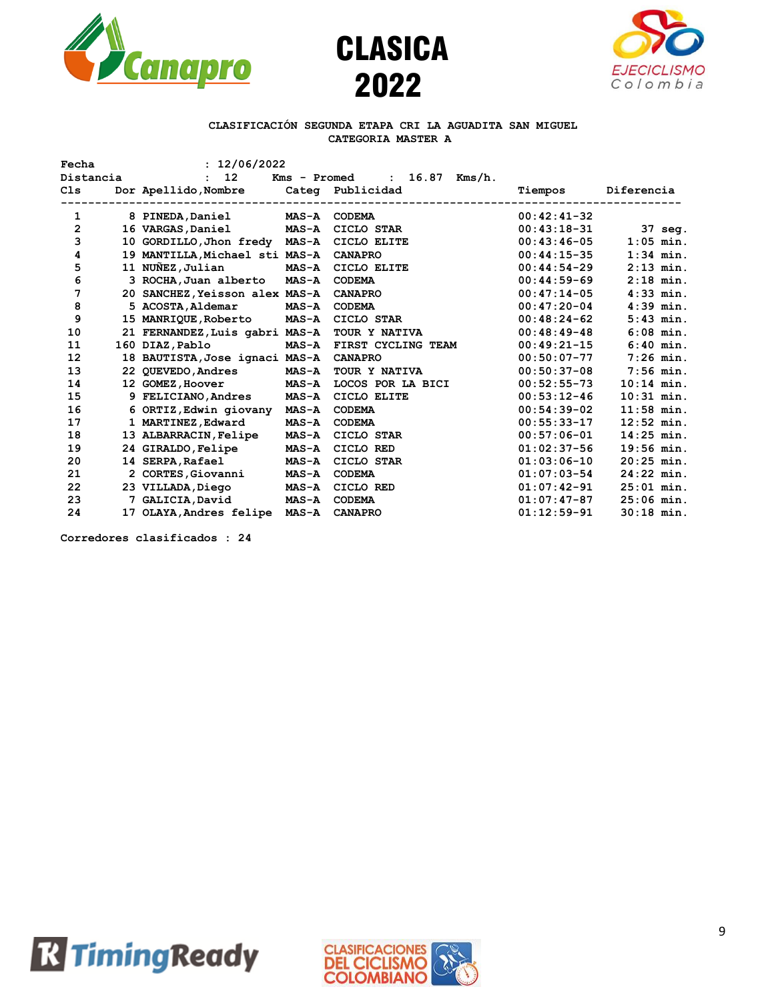





### **CLASIFICACIÓN SEGUNDA ETAPA CRI LA AGUADITA SAN MIGUEL CATEGORIA MASTER A**

| Fecha<br>Distancia | : 12/06/2022<br>: 12                   |                 |                                                                    |               |              |
|--------------------|----------------------------------------|-----------------|--------------------------------------------------------------------|---------------|--------------|
| Cls                | Dor Apellido, Nombre                   | --------------- | $16.87$ Kms/h.<br>Kms - Promed<br>$\mathbf{r}$<br>Categ Publicidad | Tiempos       | Diferencia   |
| 1                  | 8 PINEDA, Daniel                       | <b>MAS-A</b>    | <b>CODEMA</b>                                                      | $00:42:41-32$ |              |
| 2                  | 16 VARGAS, Daniel MAS-A                |                 | CICLO STAR                                                         | $00:43:18-31$ | 37 seg.      |
| 3                  | 10 GORDILLO, Jhon fredy MAS-A          |                 | CICLO ELITE                                                        | $00:43:46-05$ | $1:05$ min.  |
| 4                  | 19 MANTILLA, Michael sti MAS-A CANAPRO |                 |                                                                    | $00:44:15-35$ | $1:34$ min.  |
| 5                  | 11 NUÑEZ, Julian                       | <b>MAS-A</b>    | CICLO ELITE                                                        | $00:44:54-29$ | $2:13$ min.  |
| 6                  | 3 ROCHA, Juan alberto MAS-A            |                 | <b>CODEMA</b>                                                      | $00:44:59-69$ | $2:18$ min.  |
| 7                  | 20 SANCHEZ, Yeisson alex MAS-A         |                 | <b>CANAPRO</b>                                                     | $00:47:14-05$ | $4:33$ min.  |
| 8                  | 5 ACOSTA, Aldemar                      | <b>MAS-A</b>    | <b>CODEMA</b>                                                      | $00:47:20-04$ | $4:39$ min.  |
| 9                  | 15 MANRIQUE, Roberto MAS-A             |                 | CICLO STAR                                                         | $00:48:24-62$ | $5:43$ min.  |
| 10                 | 21 FERNANDEZ, Luis gabri MAS-A         |                 | TOUR Y NATIVA                                                      | $00:48:49-48$ | $6:08$ min.  |
| 11                 | 160 DIAZ, Pablo                        | <b>MAS-A</b>    | FIRST CYCLING TEAM                                                 | $00:49:21-15$ | $6:40$ min.  |
| 12                 | 18 BAUTISTA, Jose ignaci MAS-A         |                 | <b>CANAPRO</b>                                                     | $00:50:07-77$ | $7:26$ min.  |
| 13                 | 22 QUEVEDO, Andres                     | <b>MAS-A</b>    | TOUR Y NATIVA                                                      | $00:50:37-08$ | $7:56$ min.  |
| 14                 | 12 GOMEZ, Hoover MAS-A                 |                 | LOCOS POR LA BICI                                                  | $00:52:55-73$ | $10:14$ min. |
| 15                 | 9 FELICIANO, Andres                    | <b>MAS-A</b>    | CICLO ELITE                                                        | $00:53:12-46$ | $10:31$ min. |
| 16                 | 6 ORTIZ, Edwin giovany MAS-A           |                 | <b>CODEMA</b>                                                      | $00:54:39-02$ | $11:58$ min. |
| 17                 | 1 MARTINEZ, Edward                     | <b>MAS-A</b>    | <b>CODEMA</b>                                                      | $00:55:33-17$ | $12:52$ min. |
| 18                 | 13 ALBARRACIN, Felipe                  | <b>MAS-A</b>    | CICLO STAR                                                         | $00:57:06-01$ | $14:25$ min. |
| 19                 | 24 GIRALDO, Felipe                     | $MAS-A$         | CICLO RED                                                          | $01:02:37-56$ | $19:56$ min. |
| 20                 | 14 SERPA, Rafael                       | <b>MAS-A</b>    | CICLO STAR                                                         | $01:03:06-10$ | $20:25$ min. |
| 21                 | 2 CORTES, Giovanni                     | <b>MAS-A</b>    | <b>CODEMA</b>                                                      | $01:07:03-54$ | $24:22$ min. |
| 22                 | 23 VILLADA, Diego                      | <b>MAS-A</b>    | CICLO RED                                                          | $01:07:42-91$ | $25:01$ min. |
| 23                 | 7 GALICIA, David                       | <b>MAS-A</b>    | <b>CODEMA</b>                                                      | $01:07:47-87$ | $25:06$ min. |
| 24                 | 17 OLAYA, Andres felipe MAS-A          |                 | <b>CANAPRO</b>                                                     | $01:12:59-91$ | $30:18$ min. |

**Corredores clasificados : 24**